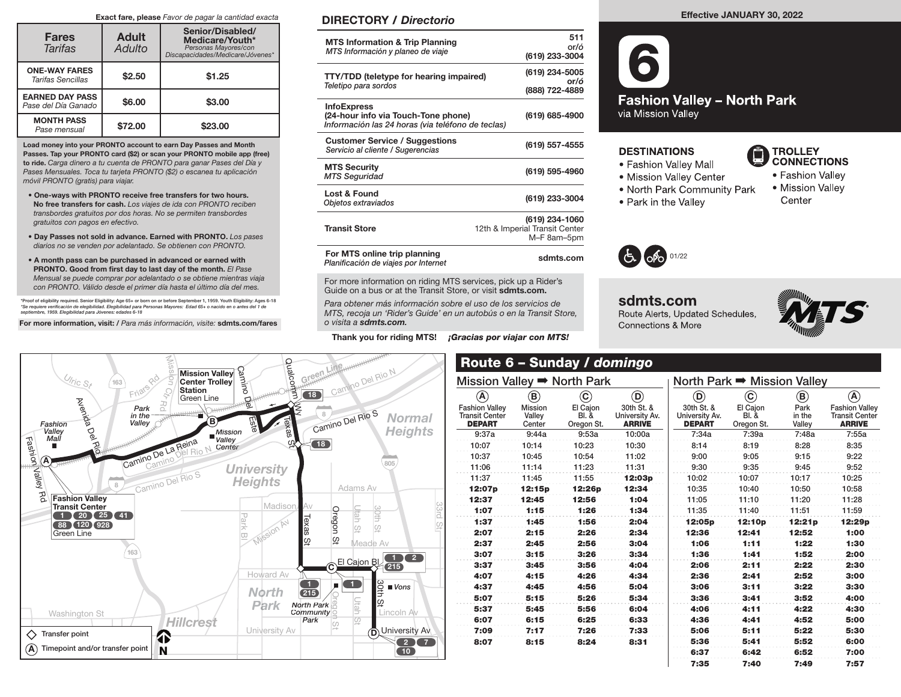### Exact fare, please Favor de pagar la cantidad exacta

| <b>Fares</b><br><b>Tarifas</b>                | <b>Adult</b><br>Adulto | Senior/Disabled/<br>Medicare/Youth*<br>Personas Mayores/con<br>Discapacidades/Medicare/Jóvenes* |  |  |  |  |  |
|-----------------------------------------------|------------------------|-------------------------------------------------------------------------------------------------|--|--|--|--|--|
| <b>ONE-WAY FARES</b><br>Tarifas Sencillas     | \$2.50                 | \$1.25                                                                                          |  |  |  |  |  |
| <b>EARNED DAY PASS</b><br>Pase del Día Ganado | \$6.00                 | \$3.00                                                                                          |  |  |  |  |  |
| <b>MONTH PASS</b><br>Pase mensual             | \$72.00                | \$23.00                                                                                         |  |  |  |  |  |

Load money into your PRONTO account to earn Day Passes and Month Passes. Tap your PRONTO card (\$2) or scan your PRONTO mobile app (free) to ride. Carga dinero a tu cuenta de PRONTO para ganar Pases del Día y Pases Mensuales. Toca tu tarjeta PRONTO (\$2) o escanea tu aplicación móvil PRONTO (gratis) para viajar.

- One-ways with PRONTO receive free transfers for two hours. No free transfers for cash. Los viajes de ida con PRONTO reciben transbordes gratuitos por dos horas. No se permiten transbordes gratuitos con pagos en efectivo.
- Day Passes not sold in advance. Earned with PRONTO. Los pases diarios no se venden por adelantado. Se obtienen con PRONTO.
- A month pass can be purchased in advanced or earned with PRONTO. Good from first day to last day of the month. El Pase Mensual se puede comprar por adelantado o se obtiene mientras viaja con PRONTO. Válido desde el primer día hasta el último día del mes.

\*Proof of eligibility required. Senior Eligibility: Age 65+ or born on or before September 1, 1959. Youth Eligibility: Ages 6-18<br>\*Se requiere verificación de elegibilidad. Elegibilidad para Personas Mayores: Edad 65+ o nac septiembre, 1959. Elegibilidad para Jóvenes: edades 6-18

For more information, visit: / Para más información, visite: sdmts.com/fares

# DIRECTORY / Directorio

| <b>MTS Information &amp; Trip Planning</b><br>MTS Información y planeo de viaje                                | 511<br>or/ó<br>(619) 233-3004                                   |
|----------------------------------------------------------------------------------------------------------------|-----------------------------------------------------------------|
| <b>TTY/TDD</b> (teletype for hearing impaired)<br>Teletipo para sordos                                         | (619) 234-5005<br>or/ó<br>(888) 722-4889                        |
| <b>InfoExpress</b><br>(24-hour info via Touch-Tone phone)<br>Información las 24 horas (via teléfono de teclas) | (619) 685-4900                                                  |
| <b>Customer Service / Suggestions</b><br>Servicio al cliente / Sugerencias                                     | (619) 557-4555                                                  |
| <b>MTS Security</b><br><b>MTS Seguridad</b>                                                                    | (619) 595-4960                                                  |
| Lost & Found<br>Objetos extraviados                                                                            | (619) 233-3004                                                  |
| <b>Transit Store</b>                                                                                           | (619) 234-1060<br>12th & Imperial Transit Center<br>M-F 8am-5pm |
| For MTS online trip planning<br>Planificación de viaies por Internet                                           | sdmts.com                                                       |

For more information on riding MTS services, pick up a Rider's Guide on a bus or at the Transit Store, or visit sdmts.com.

Para obtener más información sobre el uso de los servicios de MTS, recoja un 'Rider's Guide' en un autobús o en la Transit Store, o visita a sdmts.com.

Thank you for riding MTS! *¡Gracias por viajar con MTS!* 

**Fashion Valley - North Park** via Mission Valley

## **DESTINATIONS**

- Fashion Valley Mall
- Mission Valley Center
- . North Park Community Park
- Park in the Valley



- Fashion Valley • Mission Valley
- Center



# sdmts.com Route Alerts, Updated Schedules, **Connections & More**





### Mission Valley ➡ North Park A Fashion Valley Transit Center DEPART  $\left( \mathbf{B}\right)$ Mission Valley **Center**  $\mathbf{C}$ El Cajon Bl. & Oregon St.  $\odot$ 30th St. & University Av. ARRIVE 9:37a 9:44a 9:53a 10:00a 10:07 10:14 10:23 10:30 10:37 10:45 10:54 11:02 11:06 11:14 11:23 11:31 11:37 11:45 11:55 **12:03p** 12:07p 12:15p 12:26p 12:34 12:37 12:45 12:56 1:04 1:07 1:15 1:26 1:34 1:37 1:45 1:56 2:04 2:07 2:15 2:26 2:34 2:37 2:45 2:56 3:04 3:07 3:15 3:26 3:34 3:37 3:45 3:56 4:04 4:07 4:15 4:26 4:34 4:37 4:45 4:56 5:04 5:07 5:15 5:26 5:34 5:37 5:45 5:56 6:04 6:07 6:15 6:25 6:33 7:09 7:17 7:26 7:33 8:07 8:15 8:24 8:31 North Park ➡ Mission Valley  $\odot$ 30th St. & University Av. **DEPART**  $\left( \textbf{c}\right)$ El Cajon Bl. & Oregon St.  $\left( \mathbf{B}\right)$ Park in the Valley A Fashion Valley Transit Center ARRIVE 7:34a 7:39a 7:48a 7:55a 8:14 8:19 8:28 8:35 9:00 9:05 9:15 9:22 9:30 9:35 9:45 9:52 10:02 10:07 10:17 10:25 10:35 10:40 10:50 10:58 11:05 11:10 11:20 11:28 11:35 11:40 11:51 11:59 12:05p 12:10p 12:21p 12:29p 12:36 12:41 12:52 1:00 1:06 1:11 1:22 1:30 1:36 1:41 1:52 2:00 2:06 2:11 2:22 2:30 2:36 2:41 2:52 3:00 3:06 3:11 3:22 3:30 3:36 3:41 3:52 4:00 4:06 4:11 4:22 4:30 4:36 4:41 4:52 5:00 5:06 5:11 5:22 5:30 5:36 5:41 5:52 6:00 6:37 6:42 6:52 7:00 7:35 7:40 7:49 7:57